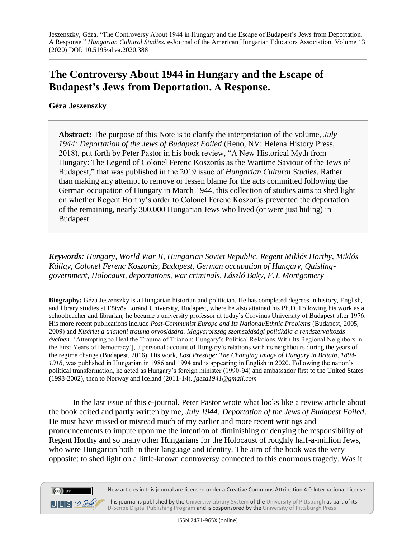## **The Controversy About 1944 in Hungary and the Escape of Budapest's Jews from Deportation. A Response.**

## **Géza Jeszenszky**

 $(cc)$  BY

**Abstract:** The purpose of this Note is to clarify the interpretation of the volume, *July 1944: Deportation of the Jews of Budapest Foiled* (Reno, NV: Helena History Press, 2018), put forth by Peter Pastor in his book review, "A New Historical Myth from Hungary: The Legend of Colonel Ferenc Koszorús as the Wartime Saviour of the Jews of Budapest," that was published in the 2019 issue of *Hungarian Cultural Studies*. Rather than making any attempt to remove or lessen blame for the acts committed following the German occupation of Hungary in March 1944, this collection of studies aims to shed light on whether Regent Horthy's order to Colonel Ferenc Koszorús prevented the deportation of the remaining, nearly 300,000 Hungarian Jews who lived (or were just hiding) in Budapest.

*Keywords: Hungary, World War II, Hungarian Soviet Republic, Regent Miklós Horthy, Miklós Kállay, Colonel Ferenc Koszorús, Budapest, German occupation of Hungary, Quislinggovernment, Holocaust, deportations, war criminals, László Baky, F.J. Montgomery*

**Biography:** Géza Jeszenszky is a Hungarian historian and politician. He has completed degrees in history, English, and library studies at Eötvös Loránd University, Budapest, where he also attained his Ph.D. Following his work as a schoolteacher and librarian, he became a university professor at today's Corvinus University of Budapest after 1976. His more recent publications include *Post-Communist Europe and Its National/Ethnic Problems* (Budapest, 2005, 2009) and *Kísérlet a trianoni trauma orvoslására. Magyarország szomszédsági politikája a rendszerváltozás éveiben* ['Attempting to Heal the Trauma of Trianon: Hungary's Political Relations With Its Regional Neighbors in the First Years of Democracy'], a personal account of Hungary's relations with its neighbours during the years of the regime change (Budapest, 2016)*.* His work, *Lost Prestige: The Changing Image of Hungary in Britain, 1894- 1918*, was published in Hungarian in 1986 and 1994 and is appearing in English in 2020. Following the nation's political transformation, he acted as Hungary's foreign minister (1990-94) and ambassador first to the United States (1998-2002), then to Norway and Iceland (2011-14). *jgeza1941@gmail.com*

In the last issue of this e-journal, Peter Pastor wrote what looks like a review article about the book edited and partly written by me, *July 1944: Deportation of the Jews of Budapest Foiled*. He must have missed or misread much of my earlier and more recent writings and pronouncements to impute upon me the intention of diminishing or denying the responsibility of Regent Horthy and so many other Hungarians for the Holocaust of roughly half-a-million Jews, who were Hungarian both in their language and identity. The aim of the book was the very opposite: to shed light on a little-known controversy connected to this enormous tragedy. Was it



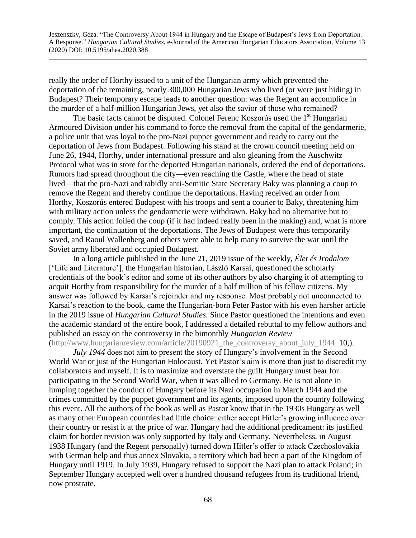really the order of Horthy issued to a unit of the Hungarian army which prevented the deportation of the remaining, nearly 300,000 Hungarian Jews who lived (or were just hiding) in Budapest? Their temporary escape leads to another question: was the Regent an accomplice in the murder of a half-million Hungarian Jews, yet also the savior of those who remained?

The basic facts cannot be disputed. Colonel Ferenc Koszorús used the  $1<sup>st</sup>$  Hungarian Armoured Division under his command to force the removal from the capital of the gendarmerie, a police unit that was loyal to the pro-Nazi puppet government and ready to carry out the deportation of Jews from Budapest. Following his stand at the crown council meeting held on June 26, 1944, Horthy, under international pressure and also gleaning from the Auschwitz Protocol what was in store for the deported Hungarian nationals, ordered the end of deportations. Rumors had spread throughout the city—even reaching the Castle, where the head of state lived—that the pro-Nazi and rabidly anti-Semitic State Secretary Baky was planning a coup to remove the Regent and thereby continue the deportations. Having received an order from Horthy, Koszorús entered Budapest with his troops and sent a courier to Baky, threatening him with military action unless the gendarmerie were withdrawn. Baky had no alternative but to comply. This action foiled the coup (if it had indeed really been in the making) and, what is more important, the continuation of the deportations. The Jews of Budapest were thus temporarily saved, and Raoul Wallenberg and others were able to help many to survive the war until the Soviet army liberated and occupied Budapest.

In a long article published in the June 21, 2019 issue of the weekly, *Élet és Irodalom* ['Life and Literature'], the Hungarian historian, László Karsai, questioned the scholarly credentials of the book's editor and some of its other authors by also charging it of attempting to acquit Horthy from responsibility for the murder of a half million of his fellow citizens. My answer was followed by Karsai's rejoinder and my response. Most probably not unconnected to Karsai's reaction to the book, came the Hungarian-born Peter Pastor with his even harsher article in the 2019 issue of *Hungarian Cultural Studies.* Since Pastor questioned the intentions and even the academic standard of the entire book, I addressed a detailed rebuttal to my fellow authors and published an essay on the controversy in the bimonthly *Hungarian Review*  [\(http://www.hungarianreview.com/article/20190921\\_the\\_controversy\\_about\\_july\\_1944](http://www.hungarianreview.com/article/20190921_the_controversy_about_july_1944) 10,).

*July 1944* does not aim to present the story of Hungary's involvement in the Second World War or just of the Hungarian Holocaust. Yet Pastor's aim is more than just to discredit my collaborators and myself. It is to maximize and overstate the guilt Hungary must bear for participating in the Second World War, when it was allied to Germany. He is not alone in lumping together the conduct of Hungary before its Nazi occupation in March 1944 and the crimes committed by the puppet government and its agents, imposed upon the country following this event. All the authors of the book as well as Pastor know that in the 1930s Hungary as well as many other European countries had little choice: either accept Hitler's growing influence over their country or resist it at the price of war. Hungary had the additional predicament: its justified claim for border revision was only supported by Italy and Germany. Nevertheless, in August 1938 Hungary (and the Regent personally) turned down Hitler's offer to attack Czechoslovakia with German help and thus annex Slovakia, a territory which had been a part of the Kingdom of Hungary until 1919. In July 1939, Hungary refused to support the Nazi plan to attack Poland; in September Hungary accepted well over a hundred thousand refugees from its traditional friend, now prostrate.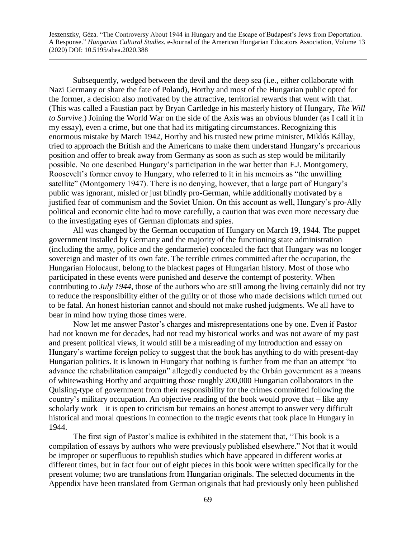Subsequently, wedged between the devil and the deep sea (i.e., either collaborate with Nazi Germany or share the fate of Poland), Horthy and most of the Hungarian public opted for the former, a decision also motivated by the attractive, territorial rewards that went with that. (This was called a Faustian pact by Bryan Cartledge in his masterly history of Hungary, *The Will to Survive*.) Joining the World War on the side of the Axis was an obvious blunder (as I call it in my essay), even a crime, but one that had its mitigating circumstances. Recognizing this enormous mistake by March 1942, Horthy and his trusted new prime minister, Miklós Kállay, tried to approach the British and the Americans to make them understand Hungary's precarious position and offer to break away from Germany as soon as such as step would be militarily possible. No one described Hungary's participation in the war better than F.J. Montgomery, Roosevelt's former envoy to Hungary, who referred to it in his memoirs as "the unwilling satellite" (Montgomery 1947). There is no denying, however, that a large part of Hungary's public was ignorant, misled or just blindly pro-German, while additionally motivated by a justified fear of communism and the Soviet Union. On this account as well, Hungary's pro-Ally political and economic elite had to move carefully, a caution that was even more necessary due to the investigating eyes of German diplomats and spies.

All was changed by the German occupation of Hungary on March 19, 1944. The puppet government installed by Germany and the majority of the functioning state administration (including the army, police and the gendarmerie) concealed the fact that Hungary was no longer sovereign and master of its own fate. The terrible crimes committed after the occupation, the Hungarian Holocaust, belong to the blackest pages of Hungarian history. Most of those who participated in these events were punished and deserve the contempt of posterity. When contributing to *July 1944*, those of the authors who are still among the living certainly did not try to reduce the responsibility either of the guilty or of those who made decisions which turned out to be fatal. An honest historian cannot and should not make rushed judgments. We all have to bear in mind how trying those times were.

Now let me answer Pastor's charges and misrepresentations one by one. Even if Pastor had not known me for decades, had not read my historical works and was not aware of my past and present political views, it would still be a misreading of my Introduction and essay on Hungary's wartime foreign policy to suggest that the book has anything to do with present-day Hungarian politics. It is known in Hungary that nothing is further from me than an attempt "to advance the rehabilitation campaign" allegedly conducted by the Orbán government as a means of whitewashing Horthy and acquitting those roughly 200,000 Hungarian collaborators in the Quisling-type of government from their responsibility for the crimes committed following the country's military occupation. An objective reading of the book would prove that – like any scholarly work – it is open to criticism but remains an honest attempt to answer very difficult historical and moral questions in connection to the tragic events that took place in Hungary in 1944.

The first sign of Pastor's malice is exhibited in the statement that, "This book is a compilation of essays by authors who were previously published elsewhere." Not that it would be improper or superfluous to republish studies which have appeared in different works at different times, but in fact four out of eight pieces in this book were written specifically for the present volume; two are translations from Hungarian originals. The selected documents in the Appendix have been translated from German originals that had previously only been published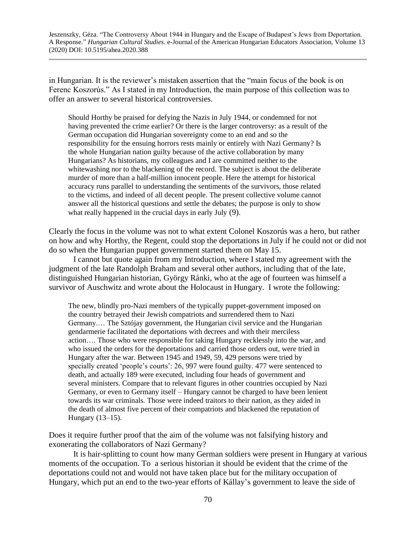in Hungarian. It is the reviewer's mistaken assertion that the "main focus of the book is on Ferenc Koszorús." As I stated in my Introduction, the main purpose of this collection was to offer an answer to several historical controversies.

Should Horthy be praised for defying the Nazis in July 1944, or condemned for not having prevented the crime earlier? Or there is the larger controversy: as a result of the German occupation did Hungarian sovereignty come to an end and so the responsibility for the ensuing horrors rests mainly or entirely with Nazi Germany? Is the whole Hungarian nation guilty because of the active collaboration by many Hungarians? As historians, my colleagues and I are committed neither to the whitewashing nor to the blackening of the record. The subject is about the deliberate murder of more than a half-million innocent people. Here the attempt for historical accuracy runs parallel to understanding the sentiments of the survivors, those related to the victims, and indeed of all decent people. The present collective volume cannot answer all the historical questions and settle the debates; the purpose is only to show what really happened in the crucial days in early July (9).

Clearly the focus in the volume was not to what extent Colonel Koszorús was a hero, but rather on how and why Horthy, the Regent, could stop the deportations in July if he could not or did not do so when the Hungarian puppet government started them on May 15.

I cannot but quote again from my Introduction, where I stated my agreement with the judgment of the late Randolph Braham and several other authors, including that of the late, distinguished Hungarian historian, György Ránki, who at the age of fourteen was himself a survivor of Auschwitz and wrote about the Holocaust in Hungary. I wrote the following:

The new, blindly pro-Nazi members of the typically puppet-government imposed on the country betrayed their Jewish compatriots and surrendered them to Nazi Germany.… The Sztójay government, the Hungarian civil service and the Hungarian gendarmerie facilitated the deportations with decrees and with their merciless action…. Those who were responsible for taking Hungary recklessly into the war, and who issued the orders for the deportations and carried those orders out, were tried in Hungary after the war. Between 1945 and 1949, 59, 429 persons were tried by specially created 'people's courts': 26, 997 were found guilty. 477 were sentenced to death, and actually 189 were executed, including four heads of government and several ministers. Compare that to relevant figures in other countries occupied by Nazi Germany, or even to Germany itself – Hungary cannot be charged to have been lenient towards its war criminals. Those were indeed traitors to their nation, as they aided in the death of almost five percent of their compatriots and blackened the reputation of Hungary (13–15).

Does it require further proof that the aim of the volume was not falsifying history and exonerating the collaborators of Nazi Germany?

It is hair-splitting to count how many German soldiers were present in Hungary at various moments of the occupation. To a serious historian it should be evident that the crime of the deportations could not and would not have taken place but for the military occupation of Hungary, which put an end to the two-year efforts of Kállay's government to leave the side of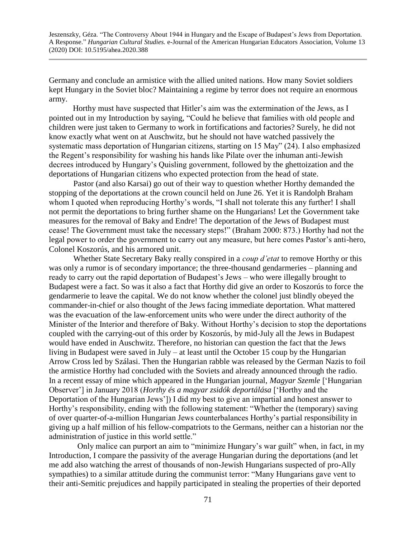Germany and conclude an armistice with the allied united nations. How many Soviet soldiers kept Hungary in the Soviet bloc? Maintaining a regime by terror does not require an enormous army.

Horthy must have suspected that Hitler's aim was the extermination of the Jews, as I pointed out in my Introduction by saying, "Could he believe that families with old people and children were just taken to Germany to work in fortifications and factories? Surely, he did not know exactly what went on at Auschwitz, but he should not have watched passively the systematic mass deportation of Hungarian citizens, starting on 15 May" (24). I also emphasized the Regent's responsibility for washing his hands like Pilate over the inhuman anti-Jewish decrees introduced by Hungary's Quisling government, followed by the ghettoization and the deportations of Hungarian citizens who expected protection from the head of state.

 Pastor (and also Karsai) go out of their way to question whether Horthy demanded the stopping of the deportations at the crown council held on June 26. Yet it is Randolph Braham whom I quoted when reproducing Horthy's words, "I shall not tolerate this any further! I shall not permit the deportations to bring further shame on the Hungarians! Let the Government take measures for the removal of Baky and Endre! The deportation of the Jews of Budapest must cease! The Government must take the necessary steps!" (Braham 2000: 873.) Horthy had not the legal power to order the government to carry out any measure, but here comes Pastor's anti-hero, Colonel Koszorús, and his armored unit.

 Whether State Secretary Baky really conspired in a *coup d'etat* to remove Horthy or this was only a rumor is of secondary importance; the three-thousand gendarmeries – planning and ready to carry out the rapid deportation of Budapest's Jews – who were illegally brought to Budapest were a fact. So was it also a fact that Horthy did give an order to Koszorús to force the gendarmerie to leave the capital. We do not know whether the colonel just blindly obeyed the commander-in-chief or also thought of the Jews facing immediate deportation. What mattered was the evacuation of the law-enforcement units who were under the direct authority of the Minister of the Interior and therefore of Baky. Without Horthy's decision to stop the deportations coupled with the carrying-out of this order by Koszorús, by mid-July all the Jews in Budapest would have ended in Auschwitz. Therefore, no historian can question the fact that the Jews living in Budapest were saved in July – at least until the October 15 coup by the Hungarian Arrow Cross led by Szálasi. Then the Hungarian rabble was released by the German Nazis to foil the armistice Horthy had concluded with the Soviets and already announced through the radio. In a recent essay of mine which appeared in the Hungarian journal, *Magyar Szemle* ['Hungarian Observer'] in January 2018 (*Horthy és a magyar zsidók deportálása* ['Horthy and the Deportation of the Hungarian Jews']) I did my best to give an impartial and honest answer to Horthy's responsibility, ending with the following statement: "Whether the (temporary) saving of over quarter-of-a-million Hungarian Jews counterbalances Horthy's partial responsibility in giving up a half million of his fellow-compatriots to the Germans, neither can a historian nor the administration of justice in this world settle."

 Only malice can purport an aim to "minimize Hungary's war guilt" when, in fact, in my Introduction, I compare the passivity of the average Hungarian during the deportations (and let me add also watching the arrest of thousands of non-Jewish Hungarians suspected of pro-Ally sympathies) to a similar attitude during the communist terror: "Many Hungarians gave vent to their anti-Semitic prejudices and happily participated in stealing the properties of their deported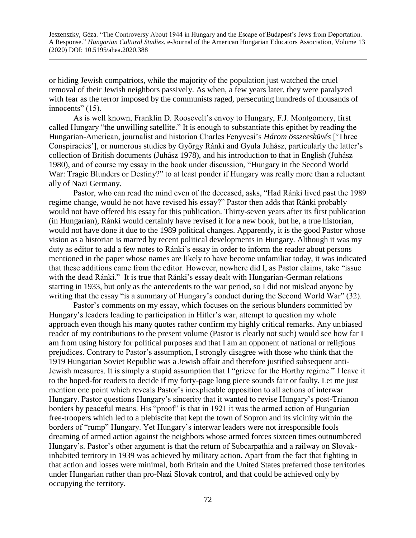or hiding Jewish compatriots, while the majority of the population just watched the cruel removal of their Jewish neighbors passively. As when, a few years later, they were paralyzed with fear as the terror imposed by the communists raged, persecuting hundreds of thousands of innocents" (15).

As is well known, Franklin D. Roosevelt's envoy to Hungary, F.J. Montgomery, first called Hungary "the unwilling satellite." It is enough to substantiate this epithet by reading the Hungarian-American, journalist and historian Charles Fenyvesi's *Három összeesküvés* ['Three Conspiracies'], or numerous studies by György Ránki and Gyula Juhász, particularly the latter's collection of British documents (Juhász 1978), and his introduction to that in English (Juhász 1980), and of course my essay in the book under discussion, "Hungary in the Second World War: Tragic Blunders or Destiny?" to at least ponder if Hungary was really more than a reluctant ally of Nazi Germany.

 Pastor, who can read the mind even of the deceased, asks, "Had Ránki lived past the 1989 regime change, would he not have revised his essay?" Pastor then adds that Ránki probably would not have offered his essay for this publication. Thirty-seven years after its first publication (in Hungarian), Ránki would certainly have revised it for a new book, but he, a true historian, would not have done it due to the 1989 political changes. Apparently, it is the good Pastor whose vision as a historian is marred by recent political developments in Hungary. Although it was my duty as editor to add a few notes to Ránki's essay in order to inform the reader about persons mentioned in the paper whose names are likely to have become unfamiliar today, it was indicated that these additions came from the editor. However, nowhere did I, as Pastor claims, take "issue with the dead Ránki." It is true that Ránki's essay dealt with Hungarian-German relations starting in 1933, but only as the antecedents to the war period, so I did not mislead anyone by writing that the essay "is a summary of Hungary's conduct during the Second World War" (32).

 Pastor's comments on my essay, which focuses on the serious blunders committed by Hungary's leaders leading to participation in Hitler's war, attempt to question my whole approach even though his many quotes rather confirm my highly critical remarks. Any unbiased reader of my contributions to the present volume (Pastor is clearly not such) would see how far I am from using history for political purposes and that I am an opponent of national or religious prejudices. Contrary to Pastor's assumption, I strongly disagree with those who think that the 1919 Hungarian Soviet Republic was a Jewish affair and therefore justified subsequent anti-Jewish measures. It is simply a stupid assumption that I "grieve for the Horthy regime." I leave it to the hoped-for readers to decide if my forty-page long piece sounds fair or faulty. Let me just mention one point which reveals Pastor's inexplicable opposition to all actions of interwar Hungary. Pastor questions Hungary's sincerity that it wanted to revise Hungary's post-Trianon borders by peaceful means. His "proof" is that in 1921 it was the armed action of Hungarian free-troopers which led to a plebiscite that kept the town of Sopron and its vicinity within the borders of "rump" Hungary. Yet Hungary's interwar leaders were not irresponsible fools dreaming of armed action against the neighbors whose armed forces sixteen times outnumbered Hungary's. Pastor's other argument is that the return of Subcarpathia and a railway on Slovakinhabited territory in 1939 was achieved by military action. Apart from the fact that fighting in that action and losses were minimal, both Britain and the United States preferred those territories under Hungarian rather than pro-Nazi Slovak control, and that could be achieved only by occupying the territory.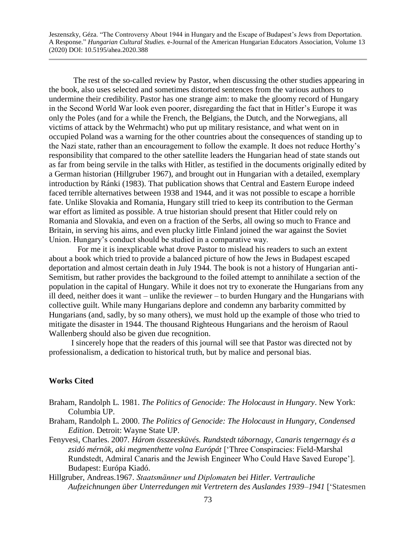The rest of the so-called review by Pastor, when discussing the other studies appearing in the book, also uses selected and sometimes distorted sentences from the various authors to undermine their credibility. Pastor has one strange aim: to make the gloomy record of Hungary in the Second World War look even poorer, disregarding the fact that in Hitler's Europe it was only the Poles (and for a while the French, the Belgians, the Dutch, and the Norwegians, all victims of attack by the Wehrmacht) who put up military resistance, and what went on in occupied Poland was a warning for the other countries about the consequences of standing up to the Nazi state, rather than an encouragement to follow the example. It does not reduce Horthy's responsibility that compared to the other satellite leaders the Hungarian head of state stands out as far from being servile in the talks with Hitler, as testified in the documents originally edited by a German historian (Hillgruber 1967), and brought out in Hungarian with a detailed, exemplary introduction by Ránki (1983). That publication shows that Central and Eastern Europe indeed faced terrible alternatives between 1938 and 1944, and it was not possible to escape a horrible fate. Unlike Slovakia and Romania, Hungary still tried to keep its contribution to the German war effort as limited as possible. A true historian should present that Hitler could rely on Romania and Slovakia, and even on a fraction of the Serbs, all owing so much to France and Britain, in serving his aims, and even plucky little Finland joined the war against the Soviet Union. Hungary's conduct should be studied in a comparative way.

 For me it is inexplicable what drove Pastor to mislead his readers to such an extent about a book which tried to provide a balanced picture of how the Jews in Budapest escaped deportation and almost certain death in July 1944. The book is not a history of Hungarian anti-Semitism, but rather provides the background to the foiled attempt to annihilate a section of the population in the capital of Hungary. While it does not try to exonerate the Hungarians from any ill deed, neither does it want – unlike the reviewer – to burden Hungary and the Hungarians with collective guilt. While many Hungarians deplore and condemn any barbarity committed by Hungarians (and, sadly, by so many others), we must hold up the example of those who tried to mitigate the disaster in 1944. The thousand Righteous Hungarians and the heroism of Raoul Wallenberg should also be given due recognition.

 I sincerely hope that the readers of this journal will see that Pastor was directed not by professionalism, a dedication to historical truth, but by malice and personal bias.

## **Works Cited**

- Braham, Randolph L. 1981. *The Politics of Genocide: The Holocaust in Hungary*. New York: Columbia UP.
- Braham, Randolph L. 2000. *The Politics of Genocide: The Holocaust in Hungary, Condensed Edition*. Detroit: Wayne State UP.
- Fenyvesi, Charles. 2007*. Három összeesküvés. Rundstedt tábornagy, Canaris tengernagy és a zsidó mérnök, aki megmenthette volna Európát* ['Three Conspiracies: Field-Marshal Rundstedt, Admiral Canaris and the Jewish Engineer Who Could Have Saved Europe']. Budapest: Európa Kiadó.
- Hillgruber, Andreas.1967. *Staatsmänner und Diplomaten bei Hitler. Vertrauliche Aufzeichnungen über Unterredungen mit Vertretern des Auslandes 1939–1941* ['Statesmen